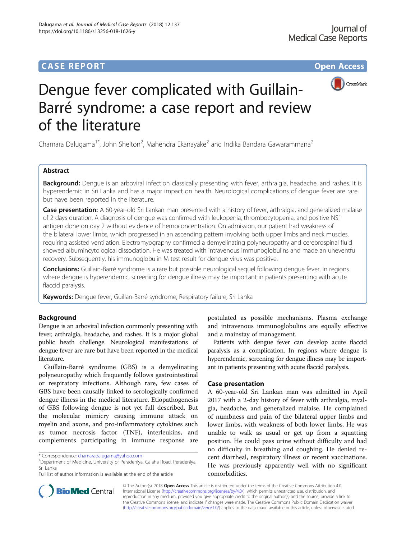# **CASE REPORT CASE REPORT CASE REPORT**



# Dengue fever complicated with Guillain-Barré syndrome: a case report and review of the literature

Chamara Dalugama<sup>1\*</sup>, John Shelton<sup>2</sup>, Mahendra Ekanayake<sup>2</sup> and Indika Bandara Gawarammana<sup>2</sup>

# Abstract

Background: Dengue is an arboviral infection classically presenting with fever, arthralgia, headache, and rashes. It is hyperendemic in Sri Lanka and has a major impact on health. Neurological complications of dengue fever are rare but have been reported in the literature.

Case presentation: A 60-year-old Sri Lankan man presented with a history of fever, arthralgia, and generalized malaise of 2 days duration. A diagnosis of dengue was confirmed with leukopenia, thrombocytopenia, and positive NS1 antigen done on day 2 without evidence of hemoconcentration. On admission, our patient had weakness of the bilateral lower limbs, which progressed in an ascending pattern involving both upper limbs and neck muscles, requiring assisted ventilation. Electromyography confirmed a demyelinating polyneuropathy and cerebrospinal fluid showed albumincytological dissociation. He was treated with intravenous immunoglobulins and made an uneventful recovery. Subsequently, his immunoglobulin M test result for dengue virus was positive.

Conclusions: Guillain-Barré syndrome is a rare but possible neurological sequel following dengue fever. In regions where dengue is hyperendemic, screening for dengue illness may be important in patients presenting with acute flaccid paralysis.

Keywords: Dengue fever, Guillan-Barré syndrome, Respiratory failure, Sri Lanka

# Background

Dengue is an arboviral infection commonly presenting with fever, arthralgia, headache, and rashes. It is a major global public heath challenge. Neurological manifestations of dengue fever are rare but have been reported in the medical literature.

Guillain-Barré syndrome (GBS) is a demyelinating polyneuropathy which frequently follows gastrointestinal or respiratory infections. Although rare, few cases of GBS have been causally linked to serologically confirmed dengue illness in the medical literature. Etiopathogenesis of GBS following dengue is not yet full described. But the molecular mimicry causing immune attack on myelin and axons, and pro-inflammatory cytokines such as tumor necrosis factor (TNF), interleukins, and complements participating in immune response are

Department of Medicine, University of Peradeniya, Galaha Road, Peradeniya, Sri Lanka

Full list of author information is available at the end of the article

postulated as possible mechanisms. Plasma exchange and intravenous immunoglobulins are equally effective and a mainstay of management.

Patients with dengue fever can develop acute flaccid paralysis as a complication. In regions where dengue is hyperendemic, screening for dengue illness may be important in patients presenting with acute flaccid paralysis.

## Case presentation

A 60-year-old Sri Lankan man was admitted in April 2017 with a 2-day history of fever with arthralgia, myalgia, headache, and generalized malaise. He complained of numbness and pain of the bilateral upper limbs and lower limbs, with weakness of both lower limbs. He was unable to walk as usual or get up from a squatting position. He could pass urine without difficulty and had no difficulty in breathing and coughing. He denied recent diarrheal, respiratory illness or recent vaccinations. He was previously apparently well with no significant comorbidities.



© The Author(s). 2018 Open Access This article is distributed under the terms of the Creative Commons Attribution 4.0 International License [\(http://creativecommons.org/licenses/by/4.0/](http://creativecommons.org/licenses/by/4.0/)), which permits unrestricted use, distribution, and reproduction in any medium, provided you give appropriate credit to the original author(s) and the source, provide a link to the Creative Commons license, and indicate if changes were made. The Creative Commons Public Domain Dedication waiver [\(http://creativecommons.org/publicdomain/zero/1.0/](http://creativecommons.org/publicdomain/zero/1.0/)) applies to the data made available in this article, unless otherwise stated.

<sup>\*</sup> Correspondence: [chamaradalugama@yahoo.com](mailto:chamaradalugama@yahoo.com) <sup>1</sup>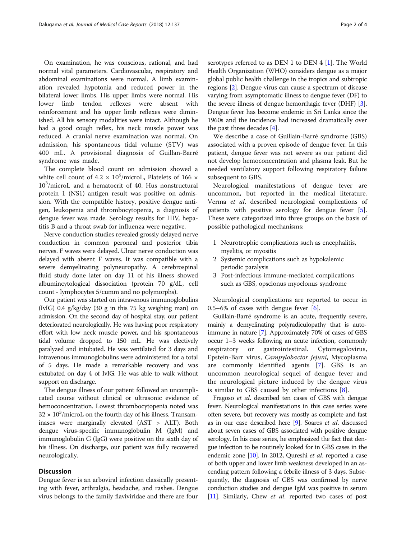On examination, he was conscious, rational, and had normal vital parameters. Cardiovascular, respiratory and abdominal examinations were normal. A limb examination revealed hypotonia and reduced power in the bilateral lower limbs. His upper limbs were normal. His lower limb tendon reflexes were absent with reinforcement and his upper limb reflexes were diminished. All his sensory modalities were intact. Although he had a good cough reflex, his neck muscle power was reduced. A cranial nerve examination was normal. On admission, his spontaneous tidal volume (STV) was 400 mL. A provisional diagnosis of Guillan-Barré syndrome was made.

The complete blood count on admission showed a white cell count of  $4.2 \times 10^6/m$ icroL, Platelets of 166  $\times$ 10<sup>3</sup>/microL and a hematocrit of 40. Hus nonstructural protein 1 (NS1) antigen result was positive on admission. With the compatible history, positive dengue antigen, leukopenia and thrombocytopenia, a diagnosis of dengue fever was made. Serology results for HIV, hepatitis B and a throat swab for influenza were negative.

Nerve conduction studies revealed grossly delayed nerve conduction in common peroneal and posterior tibia nerves. F waves were delayed. Ulnar nerve conduction was delayed with absent F waves. It was compatible with a severe demyelinating polyneuropathy. A cerebrospinal fluid study done later on day 11 of his illness showed albumincytological dissociation (protein 70 g/dL, cell count - lymphocytes 5/cumm and no polymorphs).

Our patient was started on intravenous immunoglobulins (IvIG) 0.4 g/kg/day (30 g in this 75 kg weighing man) on admission. On the second day of hospital stay, our patient deteriorated neurologically. He was having poor respiratory effort with low neck muscle power, and his spontaneous tidal volume dropped to 150 mL. He was electively paralyzed and intubated. He was ventilated for 3 days and intravenous immunoglobulins were administered for a total of 5 days. He made a remarkable recovery and was extubated on day 4 of IvIG. He was able to walk without support on discharge.

The dengue illness of our patient followed an uncomplicated course without clinical or ultrasonic evidence of hemoconcentration. Lowest thrombocytopenia noted was  $32 \times 10^3$ /microL on the fourth day of his illness. Transaminases were marginally elevated (AST > ALT). Both dengue virus-specific immunoglobulin M (IgM) and immunoglobulin G (IgG) were positive on the sixth day of his illness. On discharge, our patient was fully recovered neurologically.

# **Discussion**

Dengue fever is an arboviral infection classically presenting with fever, arthralgia, headache, and rashes. Dengue virus belongs to the family flaviviridae and there are four serotypes referred to as DEN 1 to DEN 4 [\[1\]](#page-2-0). The World Health Organization (WHO) considers dengue as a major global public health challenge in the tropics and subtropic regions [\[2\]](#page-2-0). Dengue virus can cause a spectrum of disease varying from asymptomatic illness to dengue fever (DF) to the severe illness of dengue hemorrhagic fever (DHF) [[3](#page-2-0)]. Dengue fever has become endemic in Sri Lanka since the 1960s and the incidence had increased dramatically over the past three decades [\[4\]](#page-2-0).

We describe a case of Guillain-Barré syndrome (GBS) associated with a proven episode of dengue fever. In this patient, dengue fever was not severe as our patient did not develop hemoconcentration and plasma leak. But he needed ventilatory support following respiratory failure subsequent to GBS.

Neurological manifestations of dengue fever are uncommon, but reported in the medical literature. Verma et al. described neurological complications of patients with positive serology for dengue fever [\[5](#page-2-0)]. These were categorized into three groups on the basis of possible pathological mechanisms:

- 1 Neurotrophic complications such as encephalitis, myelitis, or myositis
- 2 Systemic complications such as hypokalemic periodic paralysis
- 3 Post-infectious immune-mediated complications such as GBS, opsclonus myoclonus syndrome

Neurological complications are reported to occur in 0.5–6% of cases with dengue fever  $[6]$  $[6]$ .

Guillain-Barré syndrome is an acute, frequently severe, mainly a demyelinating polyradiculopathy that is autoimmune in nature [\[7\]](#page-3-0). Approximately 70% of cases of GBS occur 1–3 weeks following an acute infection, commonly respiratory or gastrointestinal. Cytomegalovirus, Epstein-Barr virus, Campylobactor jejuni, Mycoplasma are commonly identified agents [\[7](#page-3-0)]. GBS is an uncommon neurological sequel of dengue fever and the neurological picture induced by the dengue virus is similar to GBS caused by other infections [[8\]](#page-3-0).

Fragoso et al. described ten cases of GBS with dengue fever. Neurological manifestations in this case series were often severe, but recovery was mostly as complete and fast as in our case described here [\[9\]](#page-3-0). Soares et al. discussed about seven cases of GBS associated with positive dengue serology. In his case series, he emphasized the fact that dengue infection to be routinely looked for in GBS cases in the endemic zone [\[10\]](#page-3-0). In 2012, Qureshi et al. reported a case of both upper and lower limb weakness developed in an ascending pattern following a febrile illness of 3 days. Subsequently, the diagnosis of GBS was confirmed by nerve conduction studies and dengue IgM was positive in serum [[11](#page-3-0)]. Similarly, Chew et al. reported two cases of post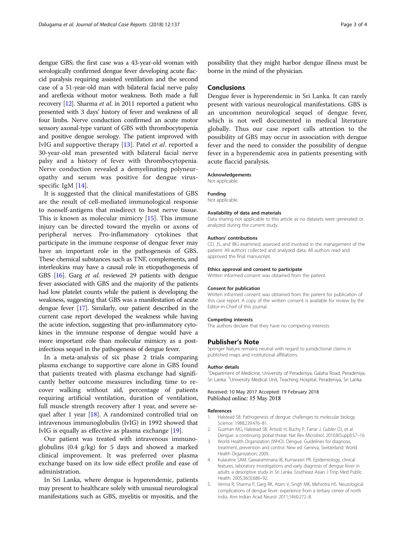<span id="page-2-0"></span>dengue GBS; the first case was a 43-year-old woman with serologically confirmed dengue fever developing acute flaccid paralysis requiring assisted ventilation and the second case of a 51-year-old man with bilateral facial nerve palsy and areflexia without motor weakness. Both made a full recovery [[12](#page-3-0)]. Sharma et al. in 2011 reported a patient who presented with 3 days' history of fever and weakness of all four limbs. Nerve conduction confirmed an acute motor sensory axonal-type variant of GBS with thrombocytopenia and positive dengue serology. The patient improved with IvIG and supportive therapy [\[13](#page-3-0)]. Patel et al. reported a 30-year-old man presented with bilateral facial nerve palsy and a history of fever with thrombocytopenia. Nerve conduction revealed a demyelinating polyneuropathy and serum was positive for dengue virus-specific IgM [\[14](#page-3-0)].

It is suggested that the clinical manifestations of GBS are the result of cell-mediated immunological response to nonself-antigens that misdirect to host nerve tissue. This is known as molecular mimicry [\[15\]](#page-3-0). This immune injury can be directed toward the myelin or axons of peripheral nerves. Pro-inflammatory cytokines that participate in the immune response of dengue fever may have an important role in the pathogenesis of GBS. These chemical substances such as TNF, complements, and interleukins may have a causal role in etiopathogenesis of GBS [\[16](#page-3-0)]. Garg et al. reviewed 29 patients with dengue fever associated with GBS and the majority of the patients had low platelet counts while the patient is developing the weakness, suggesting that GBS was a manifestation of acute dengue fever [[17](#page-3-0)]. Similarly, our patient described in the current case report developed the weakness while having the acute infection, suggesting that pro-inflammatory cytokines in the immune response of dengue would have a more important role than molecular mimicry as a postinfectious sequel in the pathogenesis of dengue fever.

In a meta-analysis of six phase 2 trials comparing plasma exchange to supportive care alone in GBS found that patients treated with plasma exchange had significantly better outcome measures including time to recover walking without aid, percentage of patients requiring artificial ventilation, duration of ventilation, full muscle strength recovery after 1 year, and severe sequel after 1 year  $[18]$  $[18]$  $[18]$ . A randomized controlled trial on intravenous immunoglobulin (IvIG) in 1992 showed that IvIG is equally as effective as plasma exchange [\[19](#page-3-0)].

Our patient was treated with intravenous immunoglobulins (0.4 g/kg) for 5 days and showed a marked clinical improvement. It was preferred over plasma exchange based on its low side effect profile and ease of administration.

In Sri Lanka, where dengue is hyperendemic, patients may present to healthcare solely with unusual neurological manifestations such as GBS, myelitis or myositis, and the

possibility that they might harbor dengue illness must be borne in the mind of the physician.

## Conclusions

Dengue fever is hyperendemic in Sri Lanka. It can rarely present with various neurological manifestations. GBS is an uncommon neurological sequel of dengue fever, which is not well documented in medical literature globally. Thus our case report calls attention to the possibility of GBS may occur in association with dengue fever and the need to consider the possibility of dengue fever in a hyperendemic area in patients presenting with acute flaccid paralysis.

### Acknowledgements

Not applicable.

#### Funding

Not applicable.

#### Availability of data and materials

Data sharing not applicable to this article as no datasets were generated or analyzed during the current study.

#### Authors' contributions

CD, JS, and IBG examined, assessed and involved in the management of the patient. All authors collected and analyzed data. All authors read and approved the final manuscript.

#### Ethics approval and consent to participate

Written informed consent was obtained from the patient.

#### Consent for publication

Written informed consent was obtained from the patient for publication of this case report. A copy of the written consent is available for review by the Editor-in-Chief of this journal.

#### Competing interests

The authors declare that they have no competing interests.

#### Publisher's Note

Springer Nature remains neutral with regard to jurisdictional claims in published maps and institutional affiliations.

#### Author details

<sup>1</sup>Department of Medicine, University of Peradeniya, Galaha Road, Peradeniya, Sri Lanka. <sup>2</sup>University Medical Unit, Teaching Hospital, Peradeniya, Sri Lanka.

## Received: 10 May 2017 Accepted: 19 February 2018 Published online: 15 May 2018

#### References

- 1. Halstead SB. Pathogenesis of dengue: challenges to molecular biology. Science. 1988;239:476–81.
- 2. Guzman MG, Halstead SB, Artsob H, Buchy P, Farrar J, Gubler DJ, et al. Dengue: a continuing global threat. Nat Rev Microbiol. 2010;8(Suppl):S7–16.
- 3. World Health Organization (WHO). Dengue. Guidelines for diagnosis, treatment, prevention and control. New ed. Geneva, Switzerland: World Health Organization; 2009.
- 4. Kularatne SAM, Gawarammana IB, Kumarasiri PR. Epidemiology, clinical features, laboratory investigations and early diagnosis of dengue fever in adults: a descriptive study in Sri Lanka. Southeast Asian J Trop Med Public Health. 2005;36(3):686–92.
- 5. Verma R, Sharma P, Garg RK, Atam V, Singh MK, Mehrotra HS. Neurological complications of dengue fever: experience from a tertiary center of north India. Ann Indian Acad Neurol. 2011;14(4):272–8.